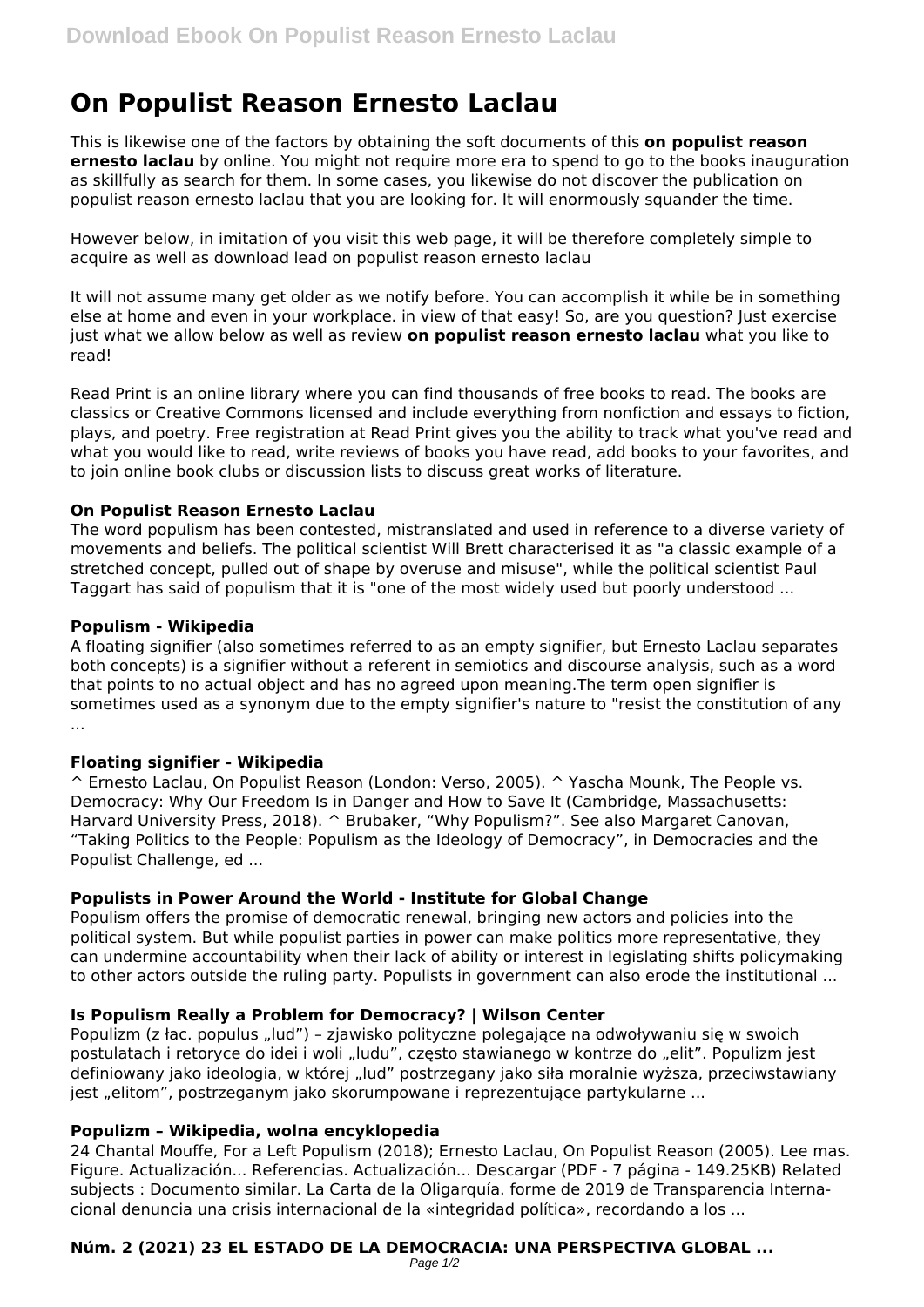# **On Populist Reason Ernesto Laclau**

This is likewise one of the factors by obtaining the soft documents of this **on populist reason ernesto laclau** by online. You might not require more era to spend to go to the books inauguration as skillfully as search for them. In some cases, you likewise do not discover the publication on populist reason ernesto laclau that you are looking for. It will enormously squander the time.

However below, in imitation of you visit this web page, it will be therefore completely simple to acquire as well as download lead on populist reason ernesto laclau

It will not assume many get older as we notify before. You can accomplish it while be in something else at home and even in your workplace. in view of that easy! So, are you question? Just exercise just what we allow below as well as review **on populist reason ernesto laclau** what you like to read!

Read Print is an online library where you can find thousands of free books to read. The books are classics or Creative Commons licensed and include everything from nonfiction and essays to fiction, plays, and poetry. Free registration at Read Print gives you the ability to track what you've read and what you would like to read, write reviews of books you have read, add books to your favorites, and to join online book clubs or discussion lists to discuss great works of literature.

# **On Populist Reason Ernesto Laclau**

The word populism has been contested, mistranslated and used in reference to a diverse variety of movements and beliefs. The political scientist Will Brett characterised it as "a classic example of a stretched concept, pulled out of shape by overuse and misuse", while the political scientist Paul Taggart has said of populism that it is "one of the most widely used but poorly understood ...

#### **Populism - Wikipedia**

A floating signifier (also sometimes referred to as an empty signifier, but Ernesto Laclau separates both concepts) is a signifier without a referent in semiotics and discourse analysis, such as a word that points to no actual object and has no agreed upon meaning.The term open signifier is sometimes used as a synonym due to the empty signifier's nature to "resist the constitution of any ...

# **Floating signifier - Wikipedia**

^ Ernesto Laclau, On Populist Reason (London: Verso, 2005). ^ Yascha Mounk, The People vs. Democracy: Why Our Freedom Is in Danger and How to Save It (Cambridge, Massachusetts: Harvard University Press, 2018). ^ Brubaker, "Why Populism?". See also Margaret Canovan, "Taking Politics to the People: Populism as the Ideology of Democracy", in Democracies and the Populist Challenge, ed ...

# **Populists in Power Around the World - Institute for Global Change**

Populism offers the promise of democratic renewal, bringing new actors and policies into the political system. But while populist parties in power can make politics more representative, they can undermine accountability when their lack of ability or interest in legislating shifts policymaking to other actors outside the ruling party. Populists in government can also erode the institutional ...

# **Is Populism Really a Problem for Democracy? | Wilson Center**

Populizm (z łac. populus "lud") – zjawisko polityczne polegające na odwoływaniu się w swoich postulatach i retoryce do idei i woli "ludu", często stawianego w kontrze do "elit". Populizm jest definiowany jako ideologia, w której "lud" postrzegany jako siła moralnie wyższa, przeciwstawiany jest "elitom", postrzeganym jako skorumpowane i reprezentujące partykularne ...

#### **Populizm – Wikipedia, wolna encyklopedia**

24 Chantal Mouffe, For a Left Populism (2018); Ernesto Laclau, On Populist Reason (2005). Lee mas. Figure. Actualización... Referencias. Actualización... Descargar (PDF - 7 página - 149.25KB) Related subjects : Documento similar. La Carta de la Oligarquía. forme de 2019 de Transparencia Internacional denuncia una crisis internacional de la «integridad política», recordando a los ...

#### **Núm. 2 (2021) 23 EL ESTADO DE LA DEMOCRACIA: UNA PERSPECTIVA GLOBAL ...** Page  $1/2$